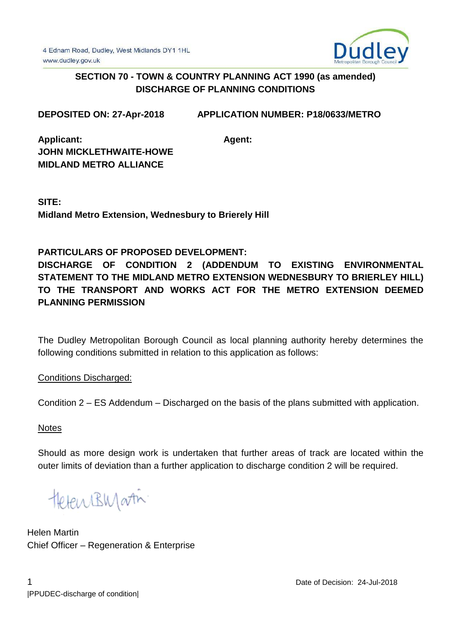

## **SECTION 70 - TOWN & COUNTRY PLANNING ACT 1990 (as amended) DISCHARGE OF PLANNING CONDITIONS**

**DEPOSITED ON: 27-Apr-2018 APPLICATION NUMBER: P18/0633/METRO**

**Agent:**

**Applicant: JOHN MICKLETHWAITE-HOWE MIDLAND METRO ALLIANCE**

**SITE: Midland Metro Extension, Wednesbury to Brierely Hill**

# **PARTICULARS OF PROPOSED DEVELOPMENT:**

**DISCHARGE OF CONDITION 2 (ADDENDUM TO EXISTING ENVIRONMENTAL STATEMENT TO THE MIDLAND METRO EXTENSION WEDNESBURY TO BRIERLEY HILL) TO THE TRANSPORT AND WORKS ACT FOR THE METRO EXTENSION DEEMED PLANNING PERMISSION**

The Dudley Metropolitan Borough Council as local planning authority hereby determines the following conditions submitted in relation to this application as follows:

Conditions Discharged:

Condition 2 – ES Addendum – Discharged on the basis of the plans submitted with application.

**Notes** 

Should as more design work is undertaken that further areas of track are located within the outer limits of deviation than a further application to discharge condition 2 will be required.

HetenBWartin

Helen Martin Chief Officer – Regeneration & Enterprise